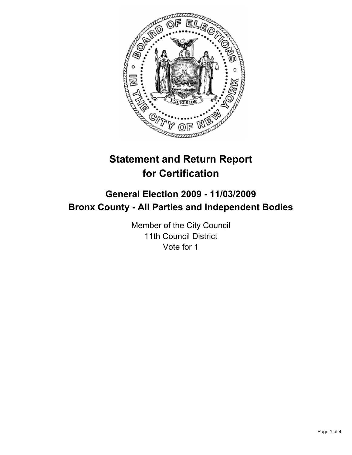

# **Statement and Return Report for Certification**

# **General Election 2009 - 11/03/2009 Bronx County - All Parties and Independent Bodies**

Member of the City Council 11th Council District Vote for 1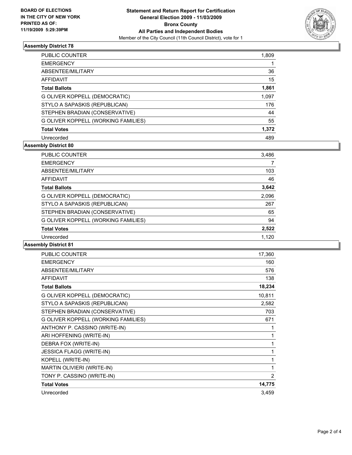

## **Assembly District 78**

| <b>PUBLIC COUNTER</b>               | 1,809 |
|-------------------------------------|-------|
| <b>EMERGENCY</b>                    |       |
| ABSENTEE/MILITARY                   | 36    |
| AFFIDAVIT                           | 15    |
| <b>Total Ballots</b>                | 1,861 |
| G OLIVER KOPPELL (DEMOCRATIC)       | 1,097 |
| STYLO A SAPASKIS (REPUBLICAN)       | 176   |
| STEPHEN BRADIAN (CONSERVATIVE)      | 44    |
| G OLIVER KOPPELL (WORKING FAMILIES) | 55    |
| <b>Total Votes</b>                  | 1,372 |
| Unrecorded                          | 489   |

### **Assembly District 80**

| <b>PUBLIC COUNTER</b>               | 3,486 |
|-------------------------------------|-------|
| <b>EMERGENCY</b>                    |       |
| ABSENTEE/MILITARY                   | 103   |
| <b>AFFIDAVIT</b>                    | 46    |
| <b>Total Ballots</b>                | 3,642 |
| G OLIVER KOPPELL (DEMOCRATIC)       | 2,096 |
| STYLO A SAPASKIS (REPUBLICAN)       | 267   |
| STEPHEN BRADIAN (CONSERVATIVE)      | 65    |
| G OLIVER KOPPELL (WORKING FAMILIES) | 94    |
| <b>Total Votes</b>                  | 2,522 |
| Unrecorded                          | 1,120 |
|                                     |       |

#### **Assembly District 81**

| <b>PUBLIC COUNTER</b>               | 17,360         |
|-------------------------------------|----------------|
| <b>EMERGENCY</b>                    | 160            |
| ABSENTEE/MILITARY                   | 576            |
| <b>AFFIDAVIT</b>                    | 138            |
| <b>Total Ballots</b>                | 18,234         |
| G OLIVER KOPPELL (DEMOCRATIC)       | 10,811         |
| STYLO A SAPASKIS (REPUBLICAN)       | 2,582          |
| STEPHEN BRADIAN (CONSERVATIVE)      | 703            |
| G OLIVER KOPPELL (WORKING FAMILIES) | 671            |
| ANTHONY P. CASSINO (WRITE-IN)       | 1              |
| ARI HOFFENING (WRITE-IN)            | 1              |
| DEBRA FOX (WRITE-IN)                | 1              |
| <b>JESSICA FLAGG (WRITE-IN)</b>     | 1              |
| KOPELL (WRITE-IN)                   | 1              |
| MARTIN OLIVIERI (WRITE-IN)          | 1              |
| TONY P. CASSINO (WRITE-IN)          | $\overline{2}$ |
| <b>Total Votes</b>                  | 14,775         |
| Unrecorded                          | 3,459          |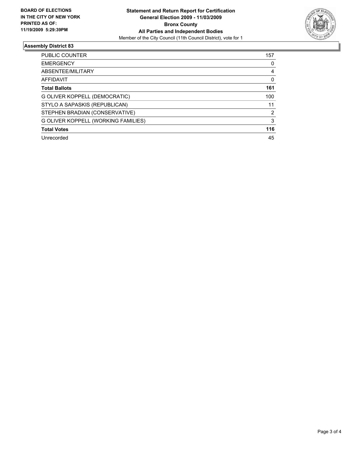

### **Assembly District 83**

| <b>PUBLIC COUNTER</b>               | 157           |
|-------------------------------------|---------------|
| <b>EMERGENCY</b>                    | 0             |
| ABSENTEE/MILITARY                   | 4             |
| <b>AFFIDAVIT</b>                    | 0             |
| <b>Total Ballots</b>                | 161           |
| G OLIVER KOPPELL (DEMOCRATIC)       | 100           |
| STYLO A SAPASKIS (REPUBLICAN)       | 11            |
| STEPHEN BRADIAN (CONSERVATIVE)      | $\mathcal{P}$ |
| G OLIVER KOPPELL (WORKING FAMILIES) | 3             |
| <b>Total Votes</b>                  | 116           |
| Unrecorded                          | 45            |